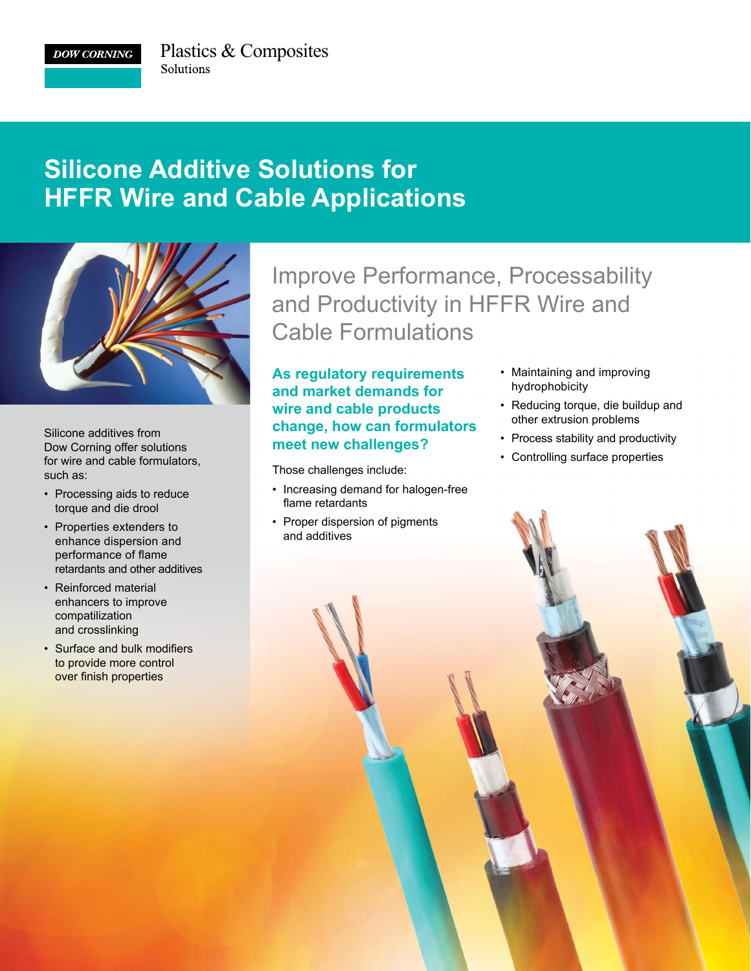**DOW CORNING** 

## **Silicone Additive Solutions for HFFR Wire and Cable Applications**



Silicone additives from Dow Corning offer solutions for wire and cable formulators, such as:

- Processing aids to reduce torque and die drool
- Properties extenders to enhance dispersion and performance of flame retardants and other additives
- Reinforced material enhancers to improve compatilization and crosslinking
- Surface and bulk modifiers to provide more control over finish properties

## Improve Performance, Processability and Productivity in HFFR Wire and Cable Formulations

## **As regulatory requirements and market demands for wire and cable products change, how can formulators meet new challenges?**

Those challenges include:

- Increasing demand for halogen-free flame retardants
- Proper dispersion of pigments and additives
- Maintaining and improving hydrophobicity
- Reducing torque, die buildup and other extrusion problems
- Process stability and productivity
- Controlling surface properties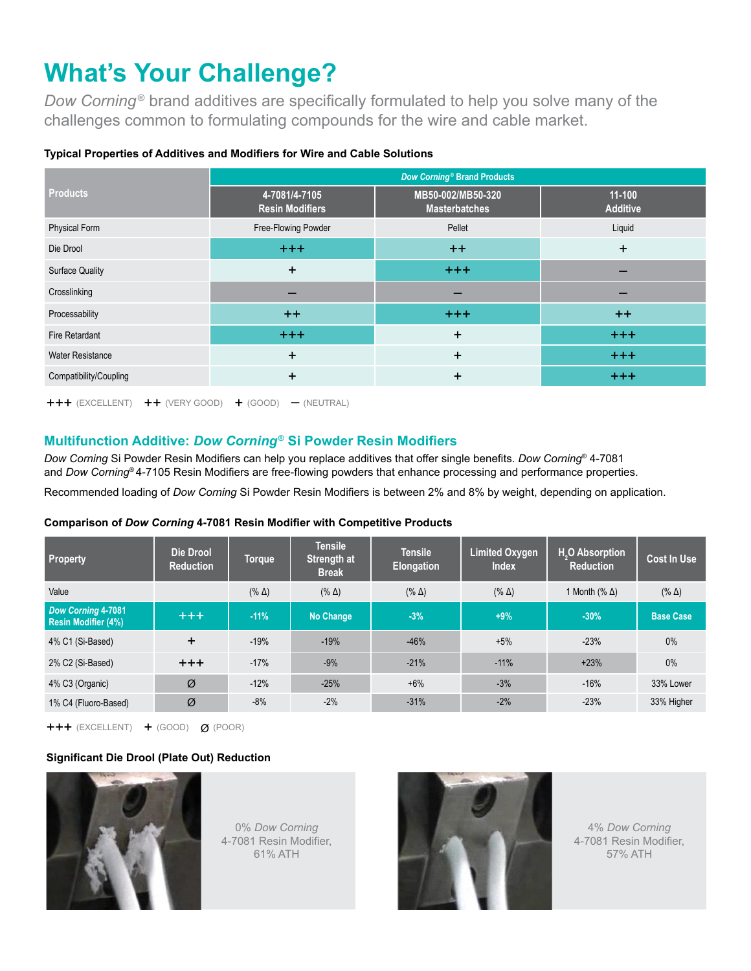# **What's Your Challenge?**

*Dow Corning*<sup>®</sup> brand additives are specifically formulated to help you solve many of the challenges common to formulating compounds for the wire and cable market.

| <b>Products</b>         | Dow Corning <sup>®</sup> Brand Products |                                           |                             |  |  |
|-------------------------|-----------------------------------------|-------------------------------------------|-----------------------------|--|--|
|                         | 4-7081/4-7105<br><b>Resin Modifiers</b> | MB50-002/MB50-320<br><b>Masterbatches</b> | $11-100$<br><b>Additive</b> |  |  |
| <b>Physical Form</b>    | Free-Flowing Powder                     | Pellet                                    | Liquid                      |  |  |
| Die Drool               | $+++$                                   | $++$                                      | $\ddot{}$                   |  |  |
| <b>Surface Quality</b>  | $\pm$                                   | $+ + +$                                   |                             |  |  |
| Crosslinking            |                                         |                                           |                             |  |  |
| Processability          | $++$                                    | $+ + +$                                   | $++$                        |  |  |
| Fire Retardant          | $^{+++}$                                | $\ddot{}$                                 | $+ + +$                     |  |  |
| <b>Water Resistance</b> | $\ddot{}$                               | $+$                                       | $+ + +$                     |  |  |
| Compatibility/Coupling  | $\ddot{}$                               | $\ddot{}$                                 | $+ + +$                     |  |  |

## **Typical Properties of Additives and Modifiers for Wire and Cable Solutions**

+++ (EXCELLENT) ++ (VERY GOOD) + (GOOD) – (NEUTRAL)

## **Multifunction Additive:** *Dow Corning***® Si Powder Resin Modifiers**

*Dow Corning* Si Powder Resin Modifiers can help you replace additives that offer single benefits. *Dow Corning*® 4-7081 and *Dow Corning*® 4-7105 Resin Modifiers are free-flowing powders that enhance processing and performance properties.

Recommended loading of *Dow Corning* Si Powder Resin Modifiers is between 2% and 8% by weight, depending on application.

#### **Comparison of** *Dow Corning* **4-7081 Resin Modifier with Competitive Products**

| Property                                         | Die Drool<br><b>Reduction</b> | <b>Torque</b> | <b>Tensile</b><br>Strength at<br><b>Break</b> | <b>Tensile</b><br><b>Elongation</b> | <b>Limited Oxygen</b><br><b>Index</b> | H <sub>2</sub> O Absorption<br><b>Reduction</b> | <b>Cost In Use</b> |
|--------------------------------------------------|-------------------------------|---------------|-----------------------------------------------|-------------------------------------|---------------------------------------|-------------------------------------------------|--------------------|
| Value                                            |                               | $(\% \Delta)$ | $(\% \Delta)$                                 | $(\% \Delta)$                       | $(\% \Delta)$                         | 1 Month $(\% \Delta)$                           | $(\% \Delta)$      |
| Dow Corning 4-7081<br><b>Resin Modifier (4%)</b> | $+++$                         | $-11%$        | <b>No Change</b>                              | $-3%$                               | $+9%$                                 | $-30%$                                          | <b>Base Case</b>   |
| 4% C1 (Si-Based)                                 | $\ddot{}$                     | $-19%$        | $-19%$                                        | $-46%$                              | $+5%$                                 | $-23%$                                          | 0%                 |
| 2% C2 (Si-Based)                                 | $+ + +$                       | $-17%$        | $-9%$                                         | $-21%$                              | $-11%$                                | $+23%$                                          | 0%                 |
| 4% C3 (Organic)                                  | Ø                             | $-12%$        | $-25%$                                        | $+6%$                               | $-3%$                                 | $-16%$                                          | 33% Lower          |
| 1% C4 (Fluoro-Based)                             | Ø                             | $-8%$         | $-2%$                                         | $-31%$                              | $-2%$                                 | $-23%$                                          | 33% Higher         |

+++ (EXCELLENT) + (GOOD) Ø (POOR)

## **Significant Die Drool (Plate Out) Reduction**



0% *Dow Corning* 4-7081 Resin Modifier, 61% ATH



4% *Dow Corning* 4-7081 Resin Modifier, 57% ATH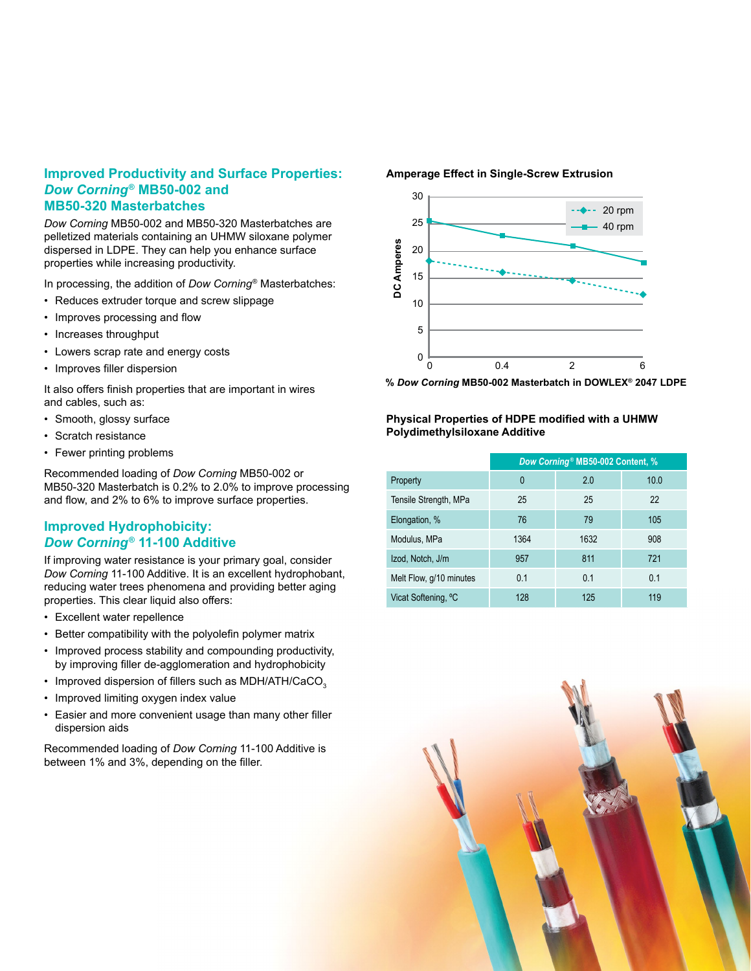## **Improved Productivity and Surface Properties:**  *Dow Corning***® MB50-002 and MB50-320 Masterbatches**

*Dow Corning* MB50-002 and MB50-320 Masterbatches are pelletized materials containing an UHMW siloxane polymer dispersed in LDPE. They can help you enhance surface properties while increasing productivity.

In processing, the addition of *Dow Corning*® Masterbatches:

- Reduces extruder torque and screw slippage
- Improves processing and flow
- Increases throughput
- Lowers scrap rate and energy costs
- Improves filler dispersion

It also offers finish properties that are important in wires and cables, such as:

- Smooth, glossy surface
- Scratch resistance
- Fewer printing problems

Recommended loading of *Dow Corning* MB50-002 or MB50-320 Masterbatch is 0.2% to 2.0% to improve processing and flow, and 2% to 6% to improve surface properties.

## **Improved Hydrophobicity:**  *Dow Corning***® 11-100 Additive**

If improving water resistance is your primary goal, consider *Dow Corning* 11-100 Additive. It is an excellent hydrophobant, reducing water trees phenomena and providing better aging properties. This clear liquid also offers:

- Excellent water repellence
- Better compatibility with the polyolefin polymer matrix
- Improved process stability and compounding productivity, by improving filler de-agglomeration and hydrophobicity
- Improved dispersion of fillers such as  $MDH/ATH/CaCO<sub>3</sub>$
- Improved limiting oxygen index value
- Easier and more convenient usage than many other filler dispersion aids

Recommended loading of *Dow Corning* 11-100 Additive is between 1% and 3%, depending on the filler.

#### **Amperage Effect in Single-Screw Extrusion**



**%** *Dow Corning* **MB50-002 Masterbatch in DOWLEX® 2047 LDPE**

### **Physical Properties of HDPE modified with a UHMW Polydimethylsiloxane Additive**

|                         | Dow Corning <sup>®</sup> MB50-002 Content, % |      |      |  |  |
|-------------------------|----------------------------------------------|------|------|--|--|
| Property                | 0                                            | 2.0  | 10.0 |  |  |
| Tensile Strength, MPa   | 25                                           | 25   | 22   |  |  |
| Elongation, %           | 76                                           | 79   | 105  |  |  |
| Modulus, MPa            | 1364                                         | 1632 | 908  |  |  |
| Izod, Notch, J/m        | 957                                          | 811  | 721  |  |  |
| Melt Flow, g/10 minutes | 0.1                                          | 0.1  | 0.1  |  |  |
| Vicat Softening, °C     | 128                                          | 125  | 119  |  |  |